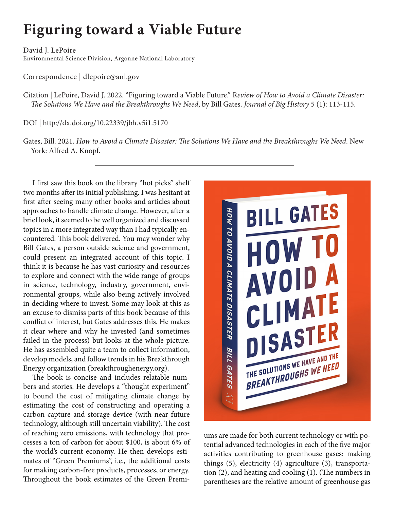## **Figuring toward a Viable Future**

David J. LePoire Environmental Science Division, Argonne National Laboratory

Correspondence | dlepoire@anl.gov

Citation | LePoire, David J. 2022. "Figuring toward a Viable Future." R*eview of How to Avoid a Climate Disaster: The Solutions We Have and the Breakthroughs We Need*, by Bill Gates. *Journal of Big History* 5 (1): 113-115.

DOI | http://dx.doi.org/10.22339/jbh.v5i1.5170

Gates, Bill. 2021. *How to Avoid a Climate Disaster: The Solutions We Have and the Breakthroughs We Need*. New York: Alfred A. Knopf.

I first saw this book on the library "hot picks" shelf two months after its initial publishing. I was hesitant at first after seeing many other books and articles about approaches to handle climate change. However, after a brief look, it seemed to be well organized and discussed topics in a more integrated way than I had typically encountered. This book delivered. You may wonder why Bill Gates, a person outside science and government, could present an integrated account of this topic. I think it is because he has vast curiosity and resources to explore and connect with the wide range of groups in science, technology, industry, government, environmental groups, while also being actively involved in deciding where to invest. Some may look at this as an excuse to dismiss parts of this book because of this conflict of interest, but Gates addresses this. He makes it clear where and why he invested (and sometimes failed in the process) but looks at the whole picture. He has assembled quite a team to collect information, develop models, and follow trends in his Breakthrough Energy organization (breakthroughenergy.org).

The book is concise and includes relatable numbers and stories. He develops a "thought experiment" to bound the cost of mitigating climate change by estimating the cost of constructing and operating a carbon capture and storage device (with near future technology, although still uncertain viability). The cost of reaching zero emissions, with technology that processes a ton of carbon for about \$100, is about 6% of the world's current economy. He then develops estimates of "Green Premiums", i.e., the additional costs for making carbon-free products, processes, or energy. Throughout the book estimates of the Green Premi-



ums are made for both current technology or with potential advanced technologies in each of the five major activities contributing to greenhouse gases: making things (5), electricity (4) agriculture (3), transportation (2), and heating and cooling (1). (The numbers in parentheses are the relative amount of greenhouse gas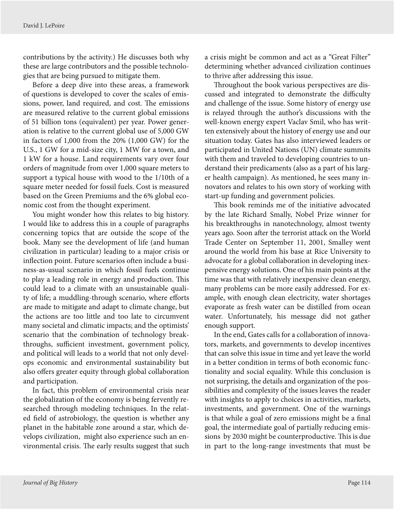contributions by the activity.) He discusses both why these are large contributors and the possible technologies that are being pursued to mitigate them.

Before a deep dive into these areas, a framework of questions is developed to cover the scales of emissions, power, land required, and cost. The emissions are measured relative to the current global emissions of 51 billion tons (equivalent) per year. Power generation is relative to the current global use of 5,000 GW in factors of 1,000 from the 20% (1,000 GW) for the U.S., 1 GW for a mid-size city, 1 MW for a town, and 1 kW for a house. Land requirements vary over four orders of magnitude from over 1,000 square meters to support a typical house with wood to the 1/10th of a square meter needed for fossil fuels. Cost is measured based on the Green Premiums and the 6% global economic cost from the thought experiment.

You might wonder how this relates to big history. I would like to address this in a couple of paragraphs concerning topics that are outside the scope of the book. Many see the development of life (and human civilization in particular) leading to a major crisis or inflection point. Future scenarios often include a business-as-usual scenario in which fossil fuels continue to play a leading role in energy and production. This could lead to a climate with an unsustainable quality of life; a muddling-through scenario, where efforts are made to mitigate and adapt to climate change, but the actions are too little and too late to circumvent many societal and climatic impacts; and the optimists' scenario that the combination of technology breakthroughs, sufficient investment, government policy, and political will leads to a world that not only develops economic and environmental sustainability but also offers greater equity through global collaboration and participation.

In fact, this problem of environmental crisis near the globalization of the economy is being fervently researched through modeling techniques. In the related field of astrobiology, the question is whether any planet in the habitable zone around a star, which develops civilization, might also experience such an environmental crisis. The early results suggest that such

a crisis might be common and act as a "Great Filter" determining whether advanced civilization continues to thrive after addressing this issue.

Throughout the book various perspectives are discussed and integrated to demonstrate the difficulty and challenge of the issue. Some history of energy use is relayed through the author's discussions with the well-known energy expert Vaclav Smil, who has written extensively about the history of energy use and our situation today. Gates has also interviewed leaders or participated in United Nations (UN) climate summits with them and traveled to developing countries to understand their predicaments (also as a part of his larger health campaign). As mentioned, he sees many innovators and relates to his own story of working with start-up funding and government policies.

This book reminds me of the initiative advocated by the late Richard Smally, Nobel Prize winner for his breakthroughs in nanotechnology, almost twenty years ago. Soon after the terrorist attack on the World Trade Center on September 11, 2001, Smalley went around the world from his base at Rice University to advocate for a global collaboration in developing inexpensive energy solutions. One of his main points at the time was that with relatively inexpensive clean energy, many problems can be more easily addressed. For example, with enough clean electricity, water shortages evaporate as fresh water can be distilled from ocean water. Unfortunately, his message did not gather enough support.

In the end, Gates calls for a collaboration of innovators, markets, and governments to develop incentives that can solve this issue in time and yet leave the world in a better condition in terms of both economic functionality and social equality. While this conclusion is not surprising, the details and organization of the possibilities and complexity of the issues leaves the reader with insights to apply to choices in activities, markets, investments, and government. One of the warnings is that while a goal of zero emissions might be a final goal, the intermediate goal of partially reducing emissions by 2030 might be counterproductive. This is due in part to the long-range investments that must be